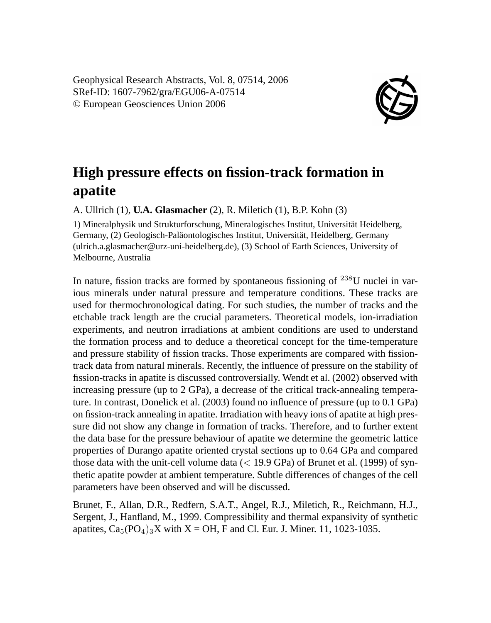Geophysical Research Abstracts, Vol. 8, 07514, 2006 SRef-ID: 1607-7962/gra/EGU06-A-07514 © European Geosciences Union 2006



## **High pressure effects on fission-track formation in apatite**

A. Ullrich (1), **U.A. Glasmacher** (2), R. Miletich (1), B.P. Kohn (3)

1) Mineralphysik und Strukturforschung, Mineralogisches Institut, Universität Heidelberg, Germany, (2) Geologisch-Paläontologisches Institut, Universität, Heidelberg, Germany (ulrich.a.glasmacher@urz-uni-heidelberg.de), (3) School of Earth Sciences, University of Melbourne, Australia

In nature, fission tracks are formed by spontaneous fissioning of  $^{238}$ U nuclei in various minerals under natural pressure and temperature conditions. These tracks are used for thermochronological dating. For such studies, the number of tracks and the etchable track length are the crucial parameters. Theoretical models, ion-irradiation experiments, and neutron irradiations at ambient conditions are used to understand the formation process and to deduce a theoretical concept for the time-temperature and pressure stability of fission tracks. Those experiments are compared with fissiontrack data from natural minerals. Recently, the influence of pressure on the stability of fission-tracks in apatite is discussed controversially. Wendt et al. (2002) observed with increasing pressure (up to 2 GPa), a decrease of the critical track-annealing temperature. In contrast, Donelick et al. (2003) found no influence of pressure (up to 0.1 GPa) on fission-track annealing in apatite. Irradiation with heavy ions of apatite at high pressure did not show any change in formation of tracks. Therefore, and to further extent the data base for the pressure behaviour of apatite we determine the geometric lattice properties of Durango apatite oriented crystal sections up to 0.64 GPa and compared those data with the unit-cell volume data  $(< 19.9$  GPa) of Brunet et al. (1999) of synthetic apatite powder at ambient temperature. Subtle differences of changes of the cell parameters have been observed and will be discussed.

Brunet, F., Allan, D.R., Redfern, S.A.T., Angel, R.J., Miletich, R., Reichmann, H.J., Sergent, J., Hanfland, M., 1999. Compressibility and thermal expansivity of synthetic apatites,  $Ca_5(PO_4)_3X$  with  $X = OH$ , F and Cl. Eur. J. Miner. 11, 1023-1035.